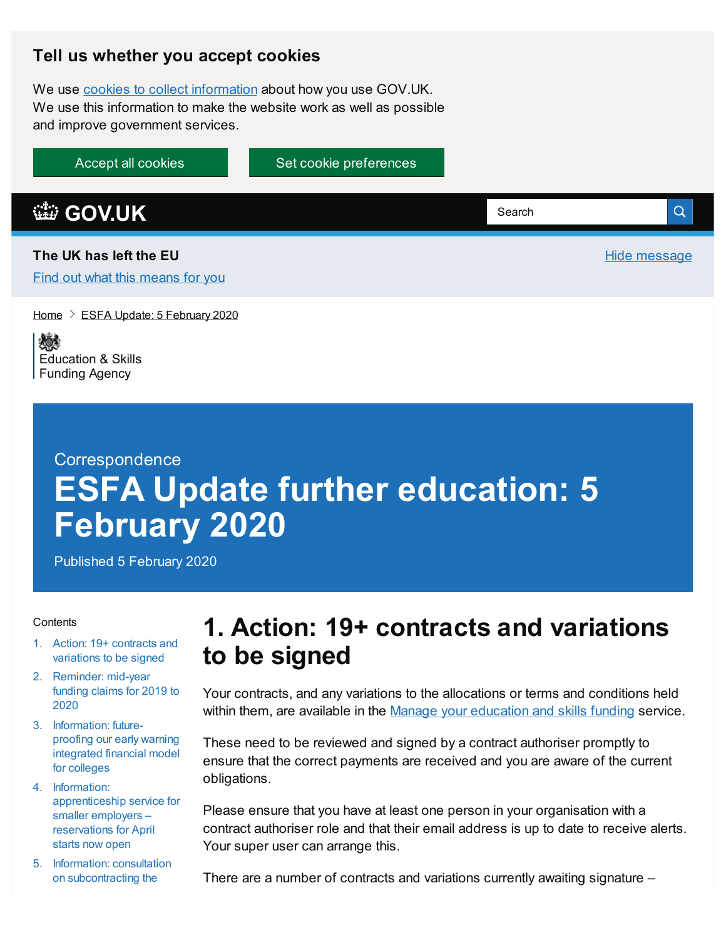#### **Tell us whether you accept cookies**

We use cookies to collect [information](https://www.gov.uk/help/cookies) about how you use GOV.UK. We use this information to make the website work as well as possible and improve government services.

Accept all cookies Set cookie [preferences](https://www.gov.uk/help/cookies)

**[GOV.UK](https://www.gov.uk)** Q Search **The UK has left the EU** Hide message Find out what this [means](https://www.gov.uk/transition) for you

[Home](https://www.gov.uk/)  $\geq$  ESFA Update: 5 [February](https://www.gov.uk/government/publications/esfa-update-5-february-2020) 2020

嫁 [Education](https://www.gov.uk/government/organisations/education-and-skills-funding-agency) & Skills **Funding Agency** 

# **Correspondence ESFA Update further education: 5 February 2020**

Published 5 February 2020

#### **Contents**

- 1. Action: 19+ contracts and [variations](#page-0-0) to be signed
- 2. [Reminder:](#page-1-0) mid-year funding claims for 2019 to 2020
- 3. [Information:](#page-1-1) futureproofing our early warning integrated financial model for colleges
- 4. Information: [apprenticeship](#page-2-0) service for smaller employers – reservations for April starts now open
- 5. Information: consultation on [subcontracting](#page-3-0) the

#### <span id="page-0-0"></span>**1. Action: 19+ contracts and variations to be signed**

Your contracts, and any variations to the allocations or terms and conditions held within them, are available in the Manage your [education](https://skillsfunding.service.gov.uk/) and skills funding service.

These need to be reviewed and signed by a contract authoriser promptly to ensure that the correct payments are received and you are aware of the current obligations.

Please ensure that you have at least one person in your organisation with a contract authoriser role and that their email address is up to date to receive alerts. Your super user can arrange this.

There are a number of contracts and variations currently awaiting signature –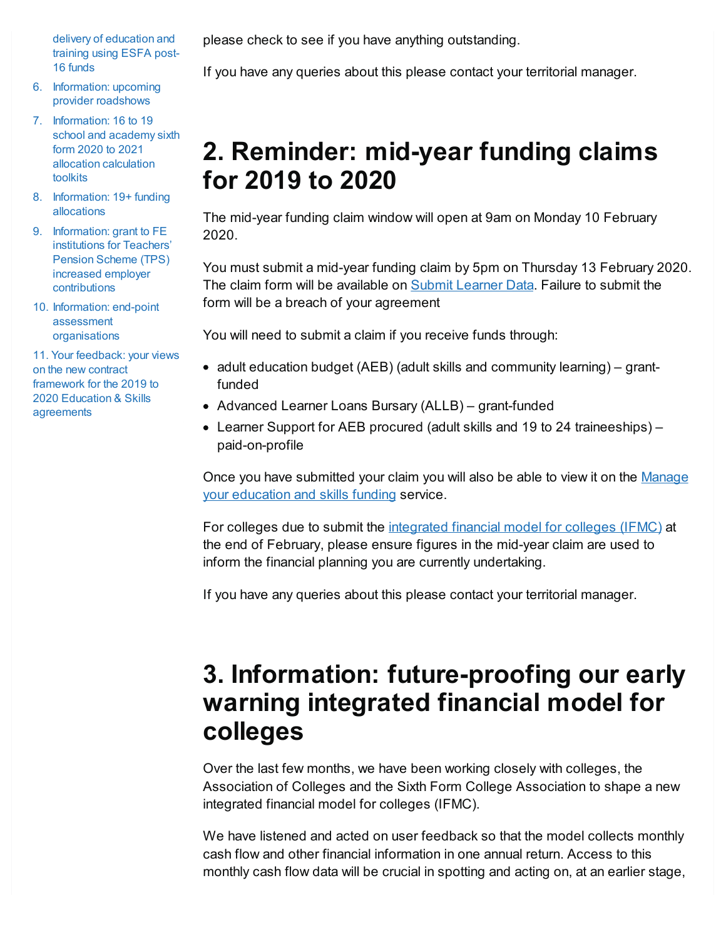delivery of education and training using ESFA post-16 funds

- 6. [Information:](#page-3-1) upcoming provider roadshows
- 7. [Information:](#page-4-0) 16 to 19 school and academy sixth form 2020 to 2021 allocation calculation toolkits
- 8. [Information:](#page-4-1) 19+ funding allocations
- 9. [Information:](#page-5-0) grant to FE institutions for Teachers' Pension Scheme (TPS) increased employer contributions
- 10. Information: end-point assessment [organisations](#page-5-1)

11. Your feedback: your views on the new contract framework for the 2019 to 2020 Education & Skills [agreements](#page-6-0)

please check to see if you have anything outstanding.

If you have any queries about this please contact your territorial manager.

# <span id="page-1-0"></span>**2. Reminder: mid-year funding claims for 2019 to 2020**

The mid-year funding claim window will open at 9am on Monday 10 February 2020.

You must submit a mid-year funding claim by 5pm on Thursday 13 February 2020. The claim form will be available on **Submit [Learner](https://submitlearnerdatabeta.fasst.org.uk/) Data. Failure to submit the** form will be a breach of your agreement

You will need to submit a claim if you receive funds through:

- adult education budget (AEB) (adult skills and community learning) grantfunded
- Advanced Learner Loans Bursary (ALLB) grant-funded
- Learner Support for AEB procured (adult skills and 19 to 24 traineeships) paid-on-profile

Once you have [submitted](https://skillsfunding.service.gov.uk/) your claim you will also be able to view it on the Manage your education and skills funding service.

For colleges due to submit the [integrated](https://www.gov.uk/government/publications/financial-planning-handbook) financial model for colleges (IFMC) at the end of February, please ensure figures in the mid-year claim are used to inform the financial planning you are currently undertaking.

If you have any queries about this please contact your territorial manager.

## <span id="page-1-1"></span>**3. Information: future-proofing our early warning integrated financial model for colleges**

Over the last few months, we have been working closely with colleges, the Association of Colleges and the Sixth Form College Association to shape a new integrated financial model for colleges (IFMC).

We have listened and acted on user feedback so that the model collects monthly cash flow and other financial information in one annual return. Access to this monthly cash flow data will be crucial in spotting and acting on, at an earlier stage,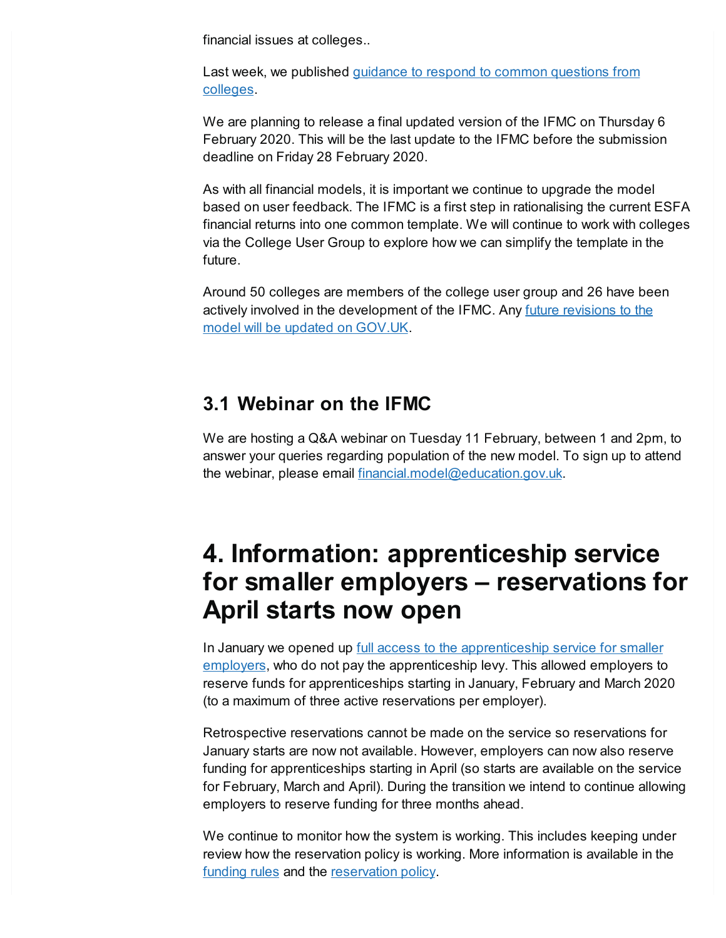financial issues at colleges..

Last week, we [published](https://www.gov.uk/government/publications/financial-planning-handbook/common-issues-with-the-integrated-financial-model-for-colleges-ifmc) guidance to respond to common questions from colleges.

We are planning to release a final updated version of the IFMC on Thursday 6 February 2020. This will be the last update to the IFMC before the submission deadline on Friday 28 February 2020.

As with all financial models, it is important we continue to upgrade the model based on user feedback. The IFMC is a first step in rationalising the current ESFA financial returns into one common template. We will continue to work with colleges via the College User Group to explore how we can simplify the template in the future.

Around 50 colleges are members of the college user group and 26 have been actively involved in the [development](https://www.gov.uk/government/publications/financial-planning-handbook) of the IFMC. Any future revisions to the model will be updated on GOV.UK.

#### **3.1 Webinar on the IFMC**

We are hosting a Q&A webinar on Tuesday 11 February, between 1 and 2pm, to answer your queries regarding population of the new model. To sign up to attend the webinar, please email [financial.model@education.gov.uk](mailto:financial.model@education.gov.uk).

#### <span id="page-2-0"></span>**4. Information: apprenticeship service for smaller employers – reservations for April starts now open**

In January we opened up full access to the [apprenticeship](https://accounts.manage-apprenticeships.service.gov.uk/service/index) service for smaller employers, who do not pay the apprenticeship levy. This allowed employers to reserve funds for apprenticeships starting in January, February and March 2020 (to a maximum of three active reservations per employer).

Retrospective reservations cannot be made on the service so reservations for January starts are now not available. However, employers can now also reserve funding for apprenticeships starting in April (so starts are available on the service for February, March and April). During the transition we intend to continue allowing employers to reserve funding for three months ahead.

We continue to monitor how the system is working. This includes keeping under review how the reservation policy is working. More information is available in the [funding](https://www.gov.uk/guidance/apprenticeship-funding-rules) rules and the [reservation](https://www.gov.uk/government/publications/apprenticeship-funding) policy.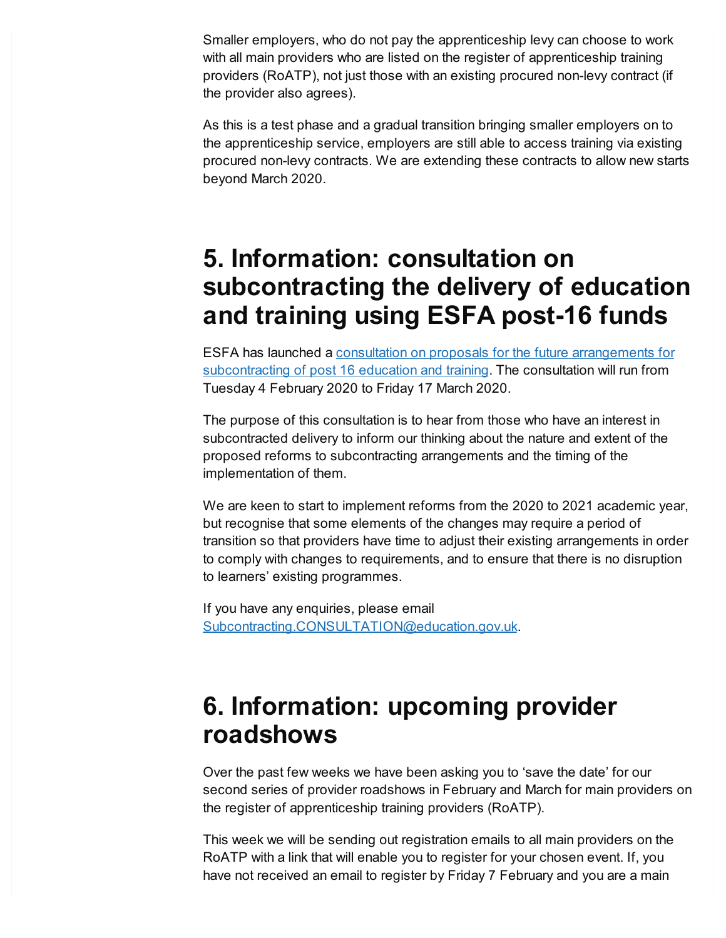Smaller employers, who do not pay the apprenticeship levy can choose to work with all main providers who are listed on the register of apprenticeship training providers (RoATP), not just those with an existing procured non-levy contract (if the provider also agrees).

As this is a test phase and a gradual transition bringing smaller employers on to the apprenticeship service, employers are still able to access training via existing procured non-levy contracts. We are extending these contracts to allow new starts beyond March 2020.

## <span id="page-3-0"></span>**5. Information: consultation on subcontracting the delivery of education and training using ESFA post-16 funds**

ESFA has launched a consultation on proposals for the future [arrangements](http://www.gov.uk/government/consultations/reforms-to-subcontracting-education-for-learners-over-16) for subcontracting of post 16 education and training. The consultation will run from Tuesday 4 February 2020 to Friday 17 March 2020.

The purpose of this consultation is to hear from those who have an interest in subcontracted delivery to inform our thinking about the nature and extent of the proposed reforms to subcontracting arrangements and the timing of the implementation of them.

We are keen to start to implement reforms from the 2020 to 2021 academic year, but recognise that some elements of the changes may require a period of transition so that providers have time to adjust their existing arrangements in order to comply with changes to requirements, and to ensure that there is no disruption to learners' existing programmes.

If you have any enquiries, please email [Subcontracting.CONSULTATION@education.gov.uk](mailto:Subcontracting.CONSULTATION@education.gov.uk).

## <span id="page-3-1"></span>**6. Information: upcoming provider roadshows**

Over the past few weeks we have been asking you to 'save the date' for our second series of provider roadshows in February and March for main providers on the register of apprenticeship training providers (RoATP).

This week we will be sending out registration emails to all main providers on the RoATP with a link that will enable you to register for your chosen event. If, you have not received an email to register by Friday 7 February and you are a main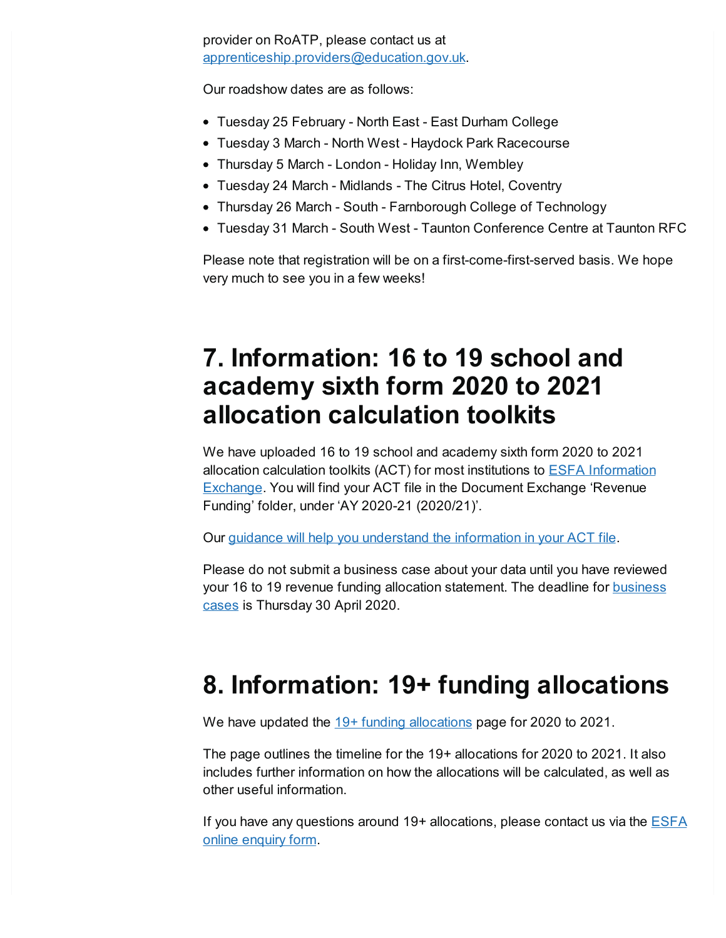provider on RoATP, please contact us at [apprenticeship.providers@education.gov.uk](mailto:apprenticeship.providers@education.gov.uk).

Our roadshow dates are as follows:

- Tuesday 25 February North East East Durham College
- Tuesday 3 March North West Haydock Park Racecourse
- Thursday 5 March London Holiday Inn, Wembley
- Tuesday 24 March Midlands The Citrus Hotel, Coventry
- Thursday 26 March South Farnborough College of Technology
- Tuesday 31 March South West Taunton Conference Centre at Taunton RFC

Please note that registration will be on a first-come-first-served basis. We hope very much to see you in a few weeks!

#### <span id="page-4-0"></span>**7. Information: 16 to 19 school and academy sixth form 2020 to 2021 allocation calculation toolkits**

We have uploaded 16 to 19 school and academy sixth form 2020 to 2021 allocation calculation toolkits (ACT) for most institutions to ESFA [Information](https://interactions.signin.education.gov.uk/19c029d1-74f5-4a73-9156-9623cea7cd16/usernamepassword?clientid=iex&redirect_uri=https://iex.signin.education.gov.uk/oidc/cb) Exchange. You will find your ACT file in the Document Exchange 'Revenue Funding' folder, under 'AY 2020-21 (2020/21)'.

Our guidance will help you [understand](https://www.gov.uk/government/publications/16-to-19-funding-allocations-supporting-documents-for-2020-to-2021) the information in your ACT file.

Please do not submit a business case about your data until you have reviewed your 16 to 19 revenue funding allocation [statement.](https://www.gov.uk/guidance/16-to-19-education-funding-allocations#business-cases-for-major-data-errors) The deadline for **business** cases is Thursday 30 April 2020.

# <span id="page-4-1"></span>**8. Information: 19+ funding allocations**

We have updated the  $19+$  funding [allocations](https://www.gov.uk/guidance/19-funding-allocations) page for 2020 to 2021.

The page outlines the timeline for the 19+ allocations for 2020 to 2021. It also includes further information on how the allocations will be calculated, as well as other useful information.

If you have any questions around 19+ [allocations,](https://form.education.gov.uk/en/AchieveForms/?form_uri=sandbox-publish://AF-Process-f9f4f5a1-936f-448b-bbeb-9dcdd595f468/AF-Stage-8aa41278-3cdd-45a3-ad87-80cbffb8b992/definition.json&redirectlink=%2Fen&cancelRedirectLink=%2Fen&consentMessage=yes) please contact us via the **ESFA** online enquiry form.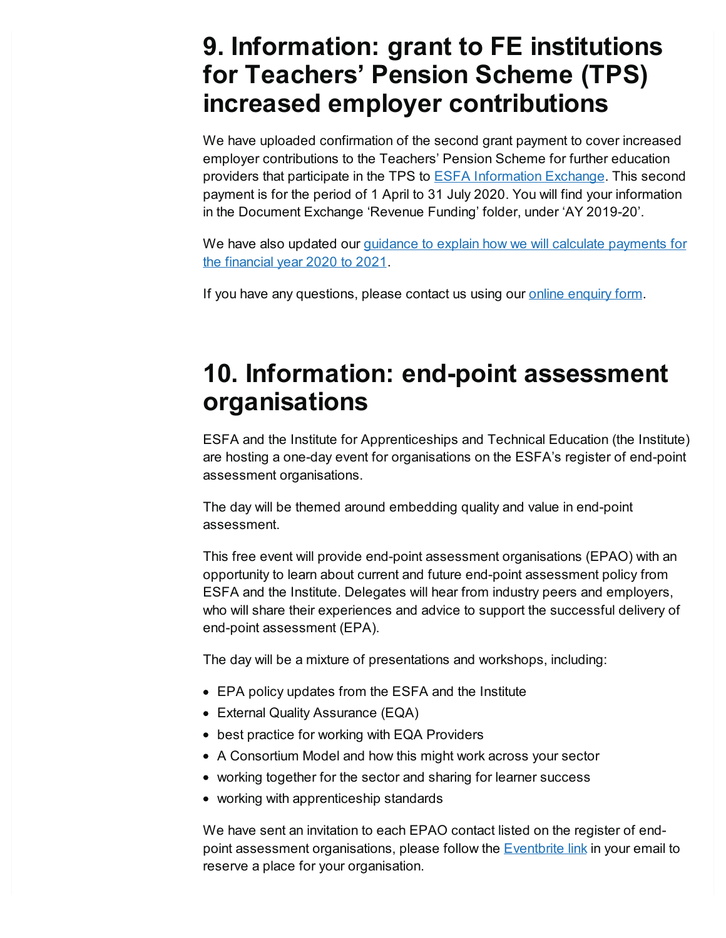#### <span id="page-5-0"></span>**9. Information: grant to FE institutions for Teachers' Pension Scheme (TPS) increased employer contributions**

We have uploaded confirmation of the second grant payment to cover increased employer contributions to the Teachers' Pension Scheme for further education providers that participate in the TPS to ESFA [Information](https://interactions.signin.education.gov.uk/abd81357-3feb-46cf-b7ce-20813fbcfdf9/usernamepassword?clientid=iex&redirect_uri=https://iex.signin.education.gov.uk/oidc/cb) Exchange. This second payment is for the period of 1 April to 31 July 2020. You will find your information in the Document Exchange 'Revenue Funding' folder, under 'AY 2019-20'.

We have also updated our guidance to explain how we will calculate [payments](https://www.gov.uk/government/publications/teachers-pension-scheme-employer-contribution-grant-further-education-providers/teachers-pension-scheme-employer-contribution-grant-further-education-providers) for the financial year 2020 to 2021.

If you have any questions, please contact us using our online [enquiry](https://form.education.gov.uk/en/AchieveForms/?form_uri=sandbox-publish://AF-Process-f9f4f5a1-936f-448b-bbeb-9dcdd595f468/AF-Stage-8aa41278-3cdd-45a3-ad87-80cbffb8b992/definition.json&redirectlink=%2Fen&cancelRedirectLink=%2Fen) form.

## <span id="page-5-1"></span>**10. Information: end-point assessment organisations**

ESFA and the Institute for Apprenticeships and Technical Education (the Institute) are hosting a one-day event for organisations on the ESFA's register of end-point assessment organisations.

The day will be themed around embedding quality and value in end-point assessment.

This free event will provide end-point assessment organisations (EPAO) with an opportunity to learn about current and future end-point assessment policy from ESFA and the Institute. Delegates will hear from industry peers and employers, who will share their experiences and advice to support the successful delivery of end-point assessment (EPA).

The day will be a mixture of presentations and workshops, including:

- EPA policy updates from the ESFA and the Institute
- External Quality Assurance (EQA)
- best practice for working with EQA Providers
- A Consortium Model and how this might work across your sector
- working together for the sector and sharing for learner success
- working with apprenticeship standards

We have sent an invitation to each EPAO contact listed on the register of endpoint assessment organisations, please follow the [Eventbrite](https://www.eventbrite.co.uk/e/annual-conference-for-end-point-assessment-organisations-tickets-92739252601) link in your email to reserve a place for your organisation.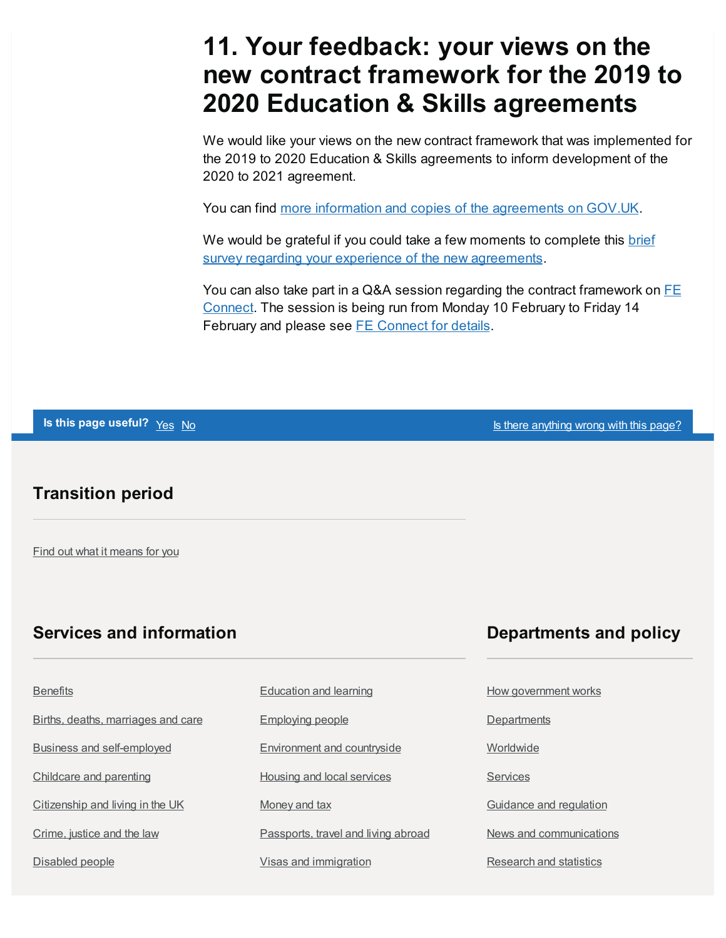### <span id="page-6-0"></span>**11. Your feedback: your views on the new contract framework for the 2019 to 2020 Education & Skills agreements**

We would like your views on the new contract framework that was implemented for the 2019 to 2020 Education & Skills agreements to inform development of the 2020 to 2021 agreement.

You can find more information and copies of the [agreements](https://www.gov.uk/guidance/esfa-education-and-skills-contracts-2019-to-2020) on GOV.UK.

We would be grateful if you could take a few moments to complete this brief survey regarding your experience of the new [agreements.](https://forms.office.com/Pages/ResponsePage.aspx?id=yXfS-grGoU2187O4s0qC-UfmZGYk7lFAjBYK4ulJuiVUNEpBMzZSWUE4U0NZNlpJVEZXVDNJSTdZNC4u)

You can also take part in a Q&A session regarding the contract [framework](http://feconnect.education.gov.uk/) on  $FE$ Connect. The session is being run from Monday 10 February to Friday 14 February and please see **FE [Connect](http://feconnect.education.gov.uk/) for details**.

**Is this page useful?** Yes No Is there [anything](https://www.gov.uk/contact/govuk) wrong with this page?

#### **Transition period**

Find out what it [means](https://www.gov.uk/transition) for you

#### **Services and information Departments and policy**

#### **[Benefits](https://www.gov.uk/browse/benefits)**

Births, deaths, [marriages](https://www.gov.uk/browse/births-deaths-marriages) and care

Business and [self-employed](https://www.gov.uk/browse/business)

[Childcare](https://www.gov.uk/browse/childcare-parenting) and parenting

[Citizenship](https://www.gov.uk/browse/citizenship) and living in the UK

[Crime,](https://www.gov.uk/browse/justice) justice and the law

[Disabled](https://www.gov.uk/browse/disabilities) people

[Education](https://www.gov.uk/browse/education) and learning

[Employing](https://www.gov.uk/browse/employing-people) people

[Environment](https://www.gov.uk/browse/environment-countryside) and countryside

Housing and local [services](https://www.gov.uk/browse/housing-local-services)

[Money](https://www.gov.uk/browse/tax) and tax

[Passports,](https://www.gov.uk/browse/abroad) travel and living abroad

Visas and [immigration](https://www.gov.uk/browse/visas-immigration)

How [government](https://www.gov.uk/government/how-government-works) works

**[Departments](https://www.gov.uk/government/organisations)** 

**[Worldwide](https://www.gov.uk/world)** 

**[Services](https://www.gov.uk/search/services)** 

Guidance and [regulation](https://www.gov.uk/search/guidance-and-regulation)

News and [communications](https://www.gov.uk/search/news-and-communications)

[Research](https://www.gov.uk/search/research-and-statistics) and statistics